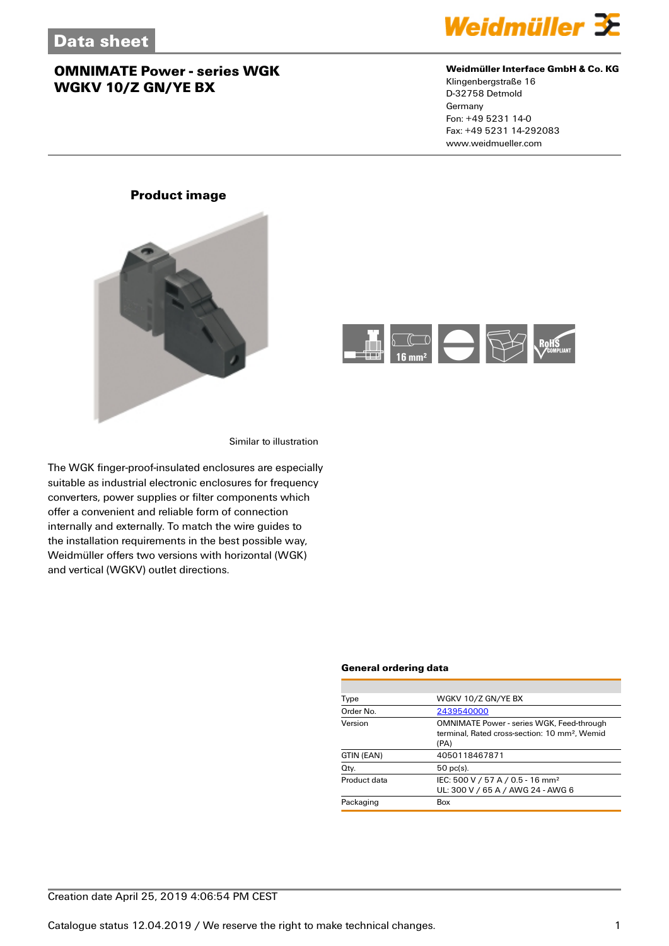

### **Weidmüller Interface GmbH & Co. KG**

Klingenbergstraße 16 D-32758 Detmold Germany Fon: +49 5231 14-0 Fax: +49 5231 14-292083 www.weidmueller.com

# **Product image**



Similar to illustration

The WGK finger-proof-insulated enclosures are especially suitable as industrial electronic enclosures for frequency converters, power supplies or filter components which offer a convenient and reliable form of connection internally and externally. To match the wire guides to the installation requirements in the best possible way, Weidmüller offers two versions with horizontal (WGK) and vertical (WGKV) outlet directions.

#### **General ordering data**

| WGKV 10/Z GN/YE BX                                                                                             |
|----------------------------------------------------------------------------------------------------------------|
| 2439540000                                                                                                     |
| OMNIMATE Power - series WGK, Feed-through<br>terminal. Rated cross-section: 10 mm <sup>2</sup> . Wemid<br>(PA) |
| 4050118467871                                                                                                  |
| $50$ pc(s).                                                                                                    |
| IEC: 500 V / 57 A / 0.5 - 16 mm <sup>2</sup><br>UL: 300 V / 65 A / AWG 24 - AWG 6                              |
| Box                                                                                                            |
|                                                                                                                |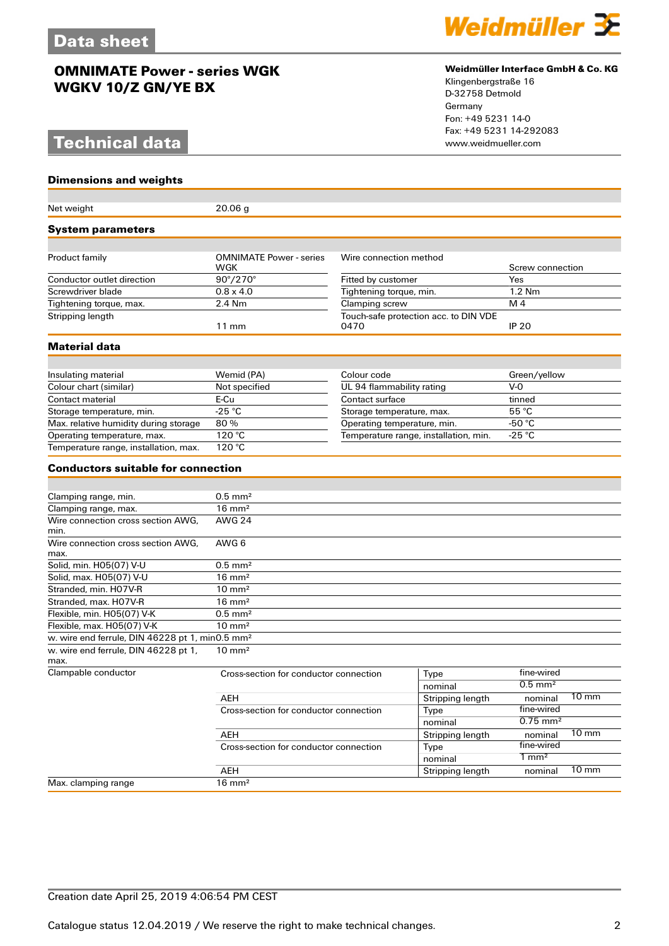# **Technical data**

### **Dimensions and weights**

| Net weight                                                  | 20.06 <sub>g</sub>                     |                                               |                  |                        |                 |
|-------------------------------------------------------------|----------------------------------------|-----------------------------------------------|------------------|------------------------|-----------------|
| System parameters                                           |                                        |                                               |                  |                        |                 |
|                                                             |                                        |                                               |                  |                        |                 |
| Product family                                              | <b>OMNIMATE Power - series</b><br>WGK  | Wire connection method                        |                  | Screw connection       |                 |
| Conductor outlet direction                                  | $90^{\circ}/270^{\circ}$               | Fitted by customer                            |                  | Yes                    |                 |
| Screwdriver blade                                           | $0.8 \times 4.0$                       | Tightening torque, min.                       |                  | 1.2 Nm                 |                 |
| Tightening torque, max.                                     | 2.4 Nm                                 | Clamping screw                                |                  | M 4                    |                 |
| Stripping length                                            | $11 \text{ mm}$                        | Touch-safe protection acc. to DIN VDE<br>0470 |                  | <b>IP 20</b>           |                 |
| <b>Material data</b>                                        |                                        |                                               |                  |                        |                 |
|                                                             |                                        |                                               |                  |                        |                 |
| Insulating material                                         | Wemid (PA)                             | Colour code                                   |                  | Green/yellow           |                 |
| Colour chart (similar)                                      | Not specified                          | UL 94 flammability rating                     |                  | $V-0$                  |                 |
| Contact material                                            | E-Cu                                   | Contact surface                               |                  | tinned                 |                 |
| Storage temperature, min.                                   | $-25$ °C                               | Storage temperature, max.                     |                  | 55 °C                  |                 |
| Max. relative humidity during storage                       | 80%                                    | Operating temperature, min.                   |                  | -50 $^{\circ}$ C       |                 |
| Operating temperature, max.                                 | 120 °C                                 | Temperature range, installation, min.         |                  | -25 $^{\circ}$ C       |                 |
| Temperature range, installation, max.                       | 120 °C                                 |                                               |                  |                        |                 |
| <b>Conductors suitable for connection</b>                   |                                        |                                               |                  |                        |                 |
|                                                             |                                        |                                               |                  |                        |                 |
| Clamping range, min.                                        | $0.5$ mm <sup>2</sup>                  |                                               |                  |                        |                 |
| Clamping range, max.                                        | $16 \text{ mm}^2$                      |                                               |                  |                        |                 |
| Wire connection cross section AWG,<br>min.                  | <b>AWG 24</b>                          |                                               |                  |                        |                 |
| Wire connection cross section AWG,<br>max.                  | AWG 6                                  |                                               |                  |                        |                 |
| Solid, min. H05(07) V-U                                     | $0.5$ mm <sup>2</sup>                  |                                               |                  |                        |                 |
| Solid, max. H05(07) V-U                                     | $16 \text{ mm}^2$                      |                                               |                  |                        |                 |
| Stranded, min. H07V-R                                       | $10 \text{ mm}^2$                      |                                               |                  |                        |                 |
| Stranded, max. H07V-R                                       | $16 \text{ mm}^2$                      |                                               |                  |                        |                 |
| Flexible, min. H05(07) V-K                                  | $0.5$ mm <sup>2</sup>                  |                                               |                  |                        |                 |
| Flexible, max. H05(07) V-K                                  | $10 \text{ mm}^2$                      |                                               |                  |                        |                 |
| w. wire end ferrule, DIN 46228 pt 1, min0.5 mm <sup>2</sup> |                                        |                                               |                  |                        |                 |
| w. wire end ferrule, DIN 46228 pt 1,<br>max.                | $10 \text{ mm}^2$                      |                                               |                  |                        |                 |
| Clampable conductor                                         | Cross-section for conductor connection |                                               | Type             | fine-wired             |                 |
|                                                             |                                        |                                               | nominal          | $0.5$ mm <sup>2</sup>  |                 |
|                                                             | AEH                                    |                                               | Stripping length | nominal                | $10 \text{ mm}$ |
| Cross-section for conductor connection                      |                                        |                                               | Type             | fine-wired             |                 |
|                                                             |                                        |                                               | nominal          | $0.75$ mm <sup>2</sup> |                 |
|                                                             | AEH                                    |                                               | Stripping length | nominal                | $10 \text{ mm}$ |
|                                                             | Cross-section for conductor connection |                                               | Type             | fine-wired             |                 |
|                                                             |                                        |                                               | nominal          | $1 \text{ mm}^2$       |                 |
|                                                             | AEH                                    |                                               | Stripping length | nominal                | $10 \text{ mm}$ |
| Max. clamping range                                         | $16 \text{ mm}^2$                      |                                               |                  |                        |                 |



### **Weidmüller Interface GmbH & Co. KG**

Klingenbergstraße 16 D-32758 Detmold Germany Fon: +49 5231 14-0 Fax: +49 5231 14-292083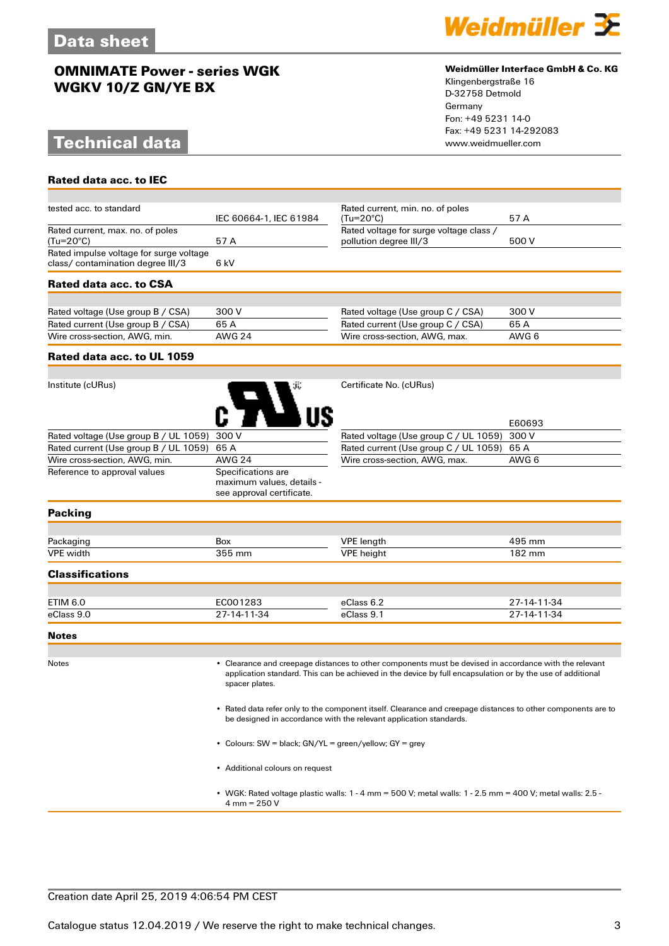# **Technical data**

**Rated data acc. to IEC**



### **Weidmüller Interface GmbH & Co. KG**

Klingenbergstraße 16 D-32758 Detmold Germany Fon: +49 5231 14-0 Fax: +49 5231 14-292083

| tested acc. to standard                                                     | IEC 60664-1. IEC 61984                                                       | Rated current, min. no. of poles<br>$(Tu=20^{\circ}C)$            | 57 A   |
|-----------------------------------------------------------------------------|------------------------------------------------------------------------------|-------------------------------------------------------------------|--------|
|                                                                             |                                                                              |                                                                   |        |
| Rated current, max. no. of poles<br>(Tu=20°C)                               | 57 A                                                                         | Rated voltage for surge voltage class /<br>pollution degree III/3 | 500 V  |
|                                                                             |                                                                              |                                                                   |        |
| Rated impulse voltage for surge voltage<br>class/contamination degree III/3 | 6 kV                                                                         |                                                                   |        |
|                                                                             |                                                                              |                                                                   |        |
| Rated data acc. to CSA                                                      |                                                                              |                                                                   |        |
|                                                                             |                                                                              |                                                                   |        |
| Rated voltage (Use group B / CSA)                                           | 300 V                                                                        | Rated voltage (Use group C / CSA)                                 | 300 V  |
| Rated current (Use group B / CSA)                                           | 65 A                                                                         | Rated current (Use group C / CSA)                                 | 65 A   |
| Wire cross-section, AWG, min.                                               | <b>AWG 24</b>                                                                | Wire cross-section, AWG, max.                                     | AWG 6  |
| Rated data acc. to UL 1059                                                  |                                                                              |                                                                   |        |
|                                                                             |                                                                              |                                                                   |        |
| Institute (cURus)                                                           |                                                                              | Certificate No. (cURus)                                           |        |
|                                                                             |                                                                              |                                                                   | E60693 |
| Rated voltage (Use group B / UL 1059)                                       | 300 V                                                                        | Rated voltage (Use group C / UL 1059)                             | 300 V  |
| Rated current (Use group B / UL 1059)                                       | 65 A                                                                         | Rated current (Use group C / UL 1059)<br>65 A                     |        |
| Wire cross-section, AWG, min.                                               | <b>AWG 24</b>                                                                | Wire cross-section, AWG, max.                                     | AWG 6  |
| Reference to approval values                                                | Specifications are<br>maximum values, details -<br>see approval certificate. |                                                                   |        |
| <b>Packing</b>                                                              |                                                                              |                                                                   |        |
|                                                                             |                                                                              |                                                                   |        |
| Packaging                                                                   | Box                                                                          | <b>VPE</b> length                                                 | 495 mm |

#### **Classifications**

| ETIM 6.0   | EC001283    | eClass 6.2 | 27-14-11-34 |
|------------|-------------|------------|-------------|
| eClass 9.0 | 27-14-11-34 | eClass 9.1 | 27-14-11-34 |

#### **Notes**

Notes • Clearance and creepage distances to other components must be devised in accordance with the relevant application standard. This can be achieved in the device by full encapsulation or by the use of additional spacer plates.

VPE width 355 mm VPE height 182 mm

• Rated data refer only to the component itself. Clearance and creepage distances to other components are to be designed in accordance with the relevant application standards.

• Colours: SW = black; GN/YL = green/yellow; GY = grey

• Additional colours on request

• WGK: Rated voltage plastic walls: 1 - 4 mm = 500 V; metal walls: 1 - 2.5 mm = 400 V; metal walls: 2.5 - 4 mm = 250 V

### Creation date April 25, 2019 4:06:54 PM CEST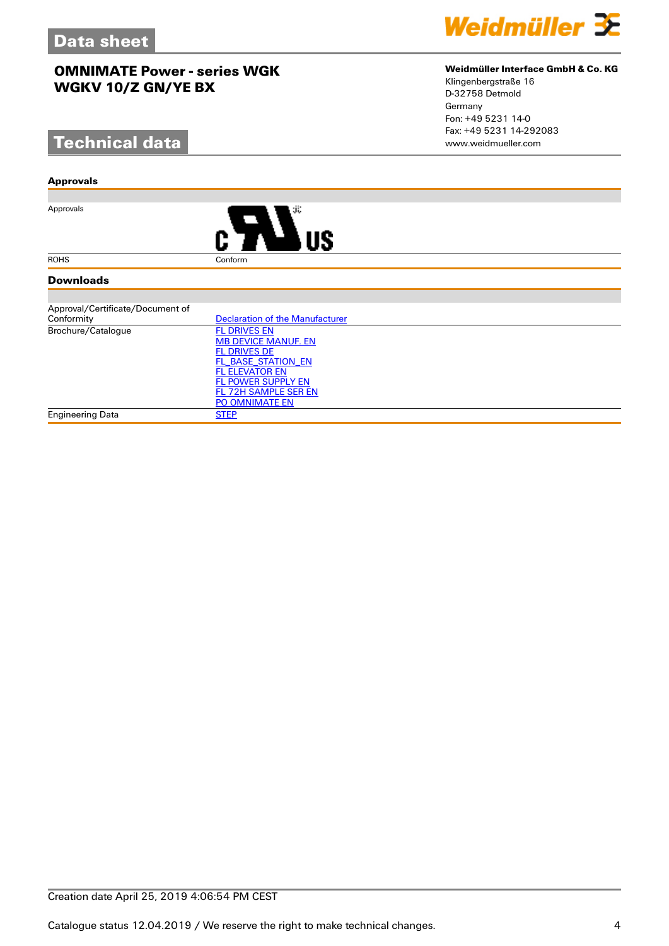# **Technical data**

#### **Approvals**

Approvals



#### **Downloads**

| Approval/Certificate/Document of |                                 |
|----------------------------------|---------------------------------|
| Conformity                       | Declaration of the Manufacturer |
| Brochure/Catalogue               | <b>FL DRIVES EN</b>             |
|                                  | <b>MB DEVICE MANUF. EN</b>      |
|                                  | <b>FL DRIVES DE</b>             |
|                                  | FL BASE STATION EN              |
|                                  | <b>FL ELEVATOR EN</b>           |
|                                  | <b>FL POWER SUPPLY EN</b>       |
|                                  | FL 72H SAMPLE SER EN            |
|                                  | <b>PO OMNIMATE EN</b>           |
| <b>Engineering Data</b>          | <b>STEP</b>                     |



## **Weidmüller Interface GmbH & Co. KG**

Klingenbergstraße 16 D-32758 Detmold Germany Fon: +49 5231 14-0 Fax: +49 5231 14-292083